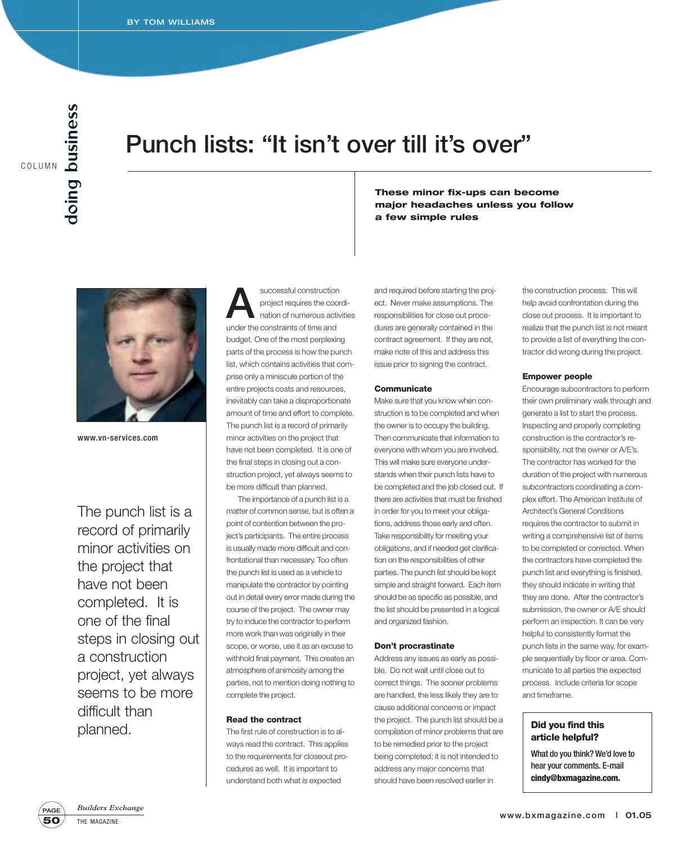# **Punch lists: "It isn't over till it's over"**



www.vn-services.com

The punch list is a record of primarily minor activities on the project that have not been completed. It is one of the final steps in closing out a construction project, yet always seems to be more difficult than planned.

successful construction<br>project requires the coordination of numerous activity<br>and the construction fitting and project requires the coordination of numerous activities under the constraints of time and budget. One of the most perplexing parts of the process is how the punch list, which contains activities that comprise only a miniscule portion of the entire projects costs and resources, inevitably can take a disproportionate amount of time and effort to complete. The punch list is a record of primarily minor activities on the project that have not been completed. It is one of the final steps in closing out a construction project, yet always seems to be more difficult than planned.

The importance of a punch list is a matter of common sense, but is often a point of contention between the project's participants. The entire process is usually made more difficult and confrontational than necessary. Too often the punch list is used as a vehicle to manipulate the contractor by pointing out in detail every error made during the course of the project. The owner may try to induce the contractor to perform more work than was originally in their scope, or worse, use it as an excuse to withhold final payment. This creates an atmosphere of animosity among the parties, not to mention doing nothing to complete the project.

### **Read the contract**

The first rule of construction is to always read the contract. This applies to the requirements for closeout procedures as well. It is important to understand both what is expected

and required before starting the project. Never make assumptions. The responsibilities for close out procedures are generally contained in the contract agreement. If they are not, make note of this and address this issue prior to signing the contract.

**a few simple rules**

**These minor fix-ups can become major headaches unless you follow** 

#### **Communicate**

Make sure that you know when construction is to be completed and when the owner is to occupy the building. Then communicate that information to everyone with whom you are involved. This will make sure everyone understands when their punch lists have to be completed and the job closed out. If there are activities that must be finished in order for you to meet your obligations, address those early and often. Take responsibility for meeting your obligations, and if needed get clarification on the responsibilities of other parties. The punch list should be kept simple and straight forward. Each item should be as specific as possible, and the list should be presented in a logical and organized fashion.

#### **Don't procrastinate**

Address any issues as early as possible. Do not wait until close out to correct things. The sooner problems are handled, the less likely they are to cause additional concerns or impact the project. The punch list should be a compilation of minor problems that are to be remedied prior to the project being completed; it is not intended to address any major concerns that should have been resolved earlier in

the construction process. This will help avoid confrontation during the close out process. It is important to realize that the punch list is not meant to provide a list of everything the contractor did wrong during the project.

## **Empower people**

Encourage subcontractors to perform their own preliminary walk through and generate a list to start the process. Inspecting and properly completing construction is the contractor's responsibility, not the owner or A/E's. The contractor has worked for the duration of the project with numerous subcontractors coordinating a complex effort. The American Institute of Architect's General Conditions requires the contractor to submit in writing a comprehensive list of items to be completed or corrected. When the contractors have completed the punch list and everything is finished, they should indicate in writing that they are done. After the contractor's submission, the owner or A/E should perform an inspection. It can be very helpful to consistently format the punch lists in the same way, for example sequentially by floor or area. Communicate to all parties the expected process. Include criteria for scope and timeframe.

# **Did you find this article helpful?**

What do you think? We'd love to hear your comments. E-mail **cindy@bxmagazine.com.**